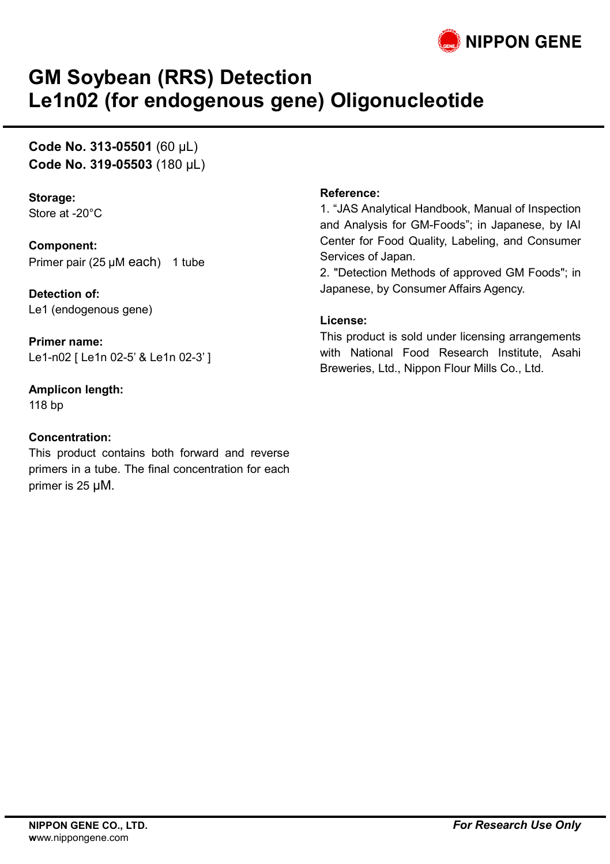

## **GM Soybean (RRS) Detection Le1n02 (for endogenous gene) Oligonucleotide**

### **Code No. 313-05501** (60 µL) **Code No. 319-05503** (180 µL)

**Storage:** Store at -20°C

**Component:** Primer pair (25 µM each) 1 tube

**Detection of:** Le1 (endogenous gene)

**Primer name:** Le1-n02 [ Le1n 02-5' & Le1n 02-3' ]

**Amplicon length:**

118 bp

#### **Concentration:**

This product contains both forward and reverse primers in a tube. The final concentration for each primer is 25 µM.

#### **Reference:**

1. "JAS Analytical Handbook, Manual of Inspection and Analysis for GM-Foods"; in Japanese, by IAI Center for Food Quality, Labeling, and Consumer Services of Japan.

2. "Detection Methods of approved GM Foods"; in Japanese, by Consumer Affairs Agency.

#### **License:**

This product is sold under licensing arrangements with National Food Research Institute, Asahi Breweries, Ltd., Nippon Flour Mills Co., Ltd.